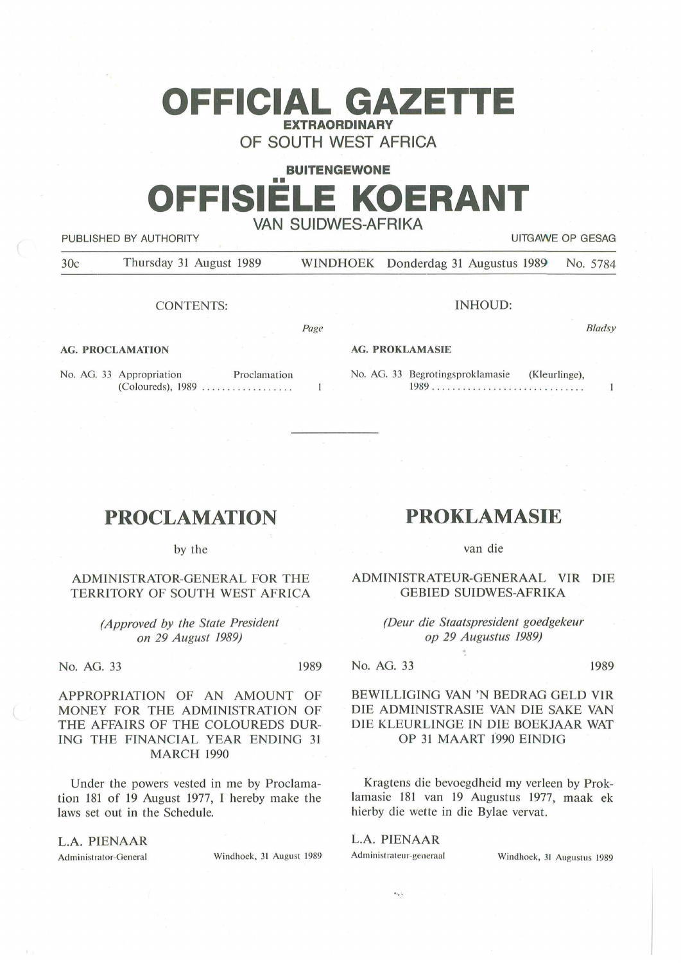# **OFFICIAL GAZETTE EXTRAORDINARY**

**OF SOUTH WEST AFRICA** 

#### **BUITENGEWONE**

# •• **OFFISIELE KOERANT VAN SUIDWES-AFRIKA**

PUBLISHED BY AUTHORITY **EXAMPLE ASSAULTS AND THE SECOND TEST OF GESAGRAPH** UITGAWE OP GESAG

*B/adsy* 

 $\mathbf{1}$ 

30c Thursday 31 August 1989 WINDHOEK Donderdag 31 Augustus 1989 No. 5784

CONTENTS:

INHOUD:

*Page* 

 $\mathbf{1}$ 

**AG. PROCLAMATION** 

No. AG. 33 Appropriation Proclamation (Coloureds), 1989 . ........... . ... . .

#### **AG. PROKLAMASIE**

No. AG. 33 Begrotingsproklamasie (Kleurlinge), 1989 .. .. .... .. . . . . . ... ' '' . . . '' ... .

## **PROCLAMATION**

by the

#### **ADMINISTRATOR-GENERAL FOR THE TERRITORY OF SOUTH WEST AFRICA**

*(Approved by the State President on 29 August 1989)* 

No. AG. 33 1989

APPROPRIATION OF AN AMOUNT OF MONEY FOR THE ADMINISTRATION OF THE AFFAIRS OF THE COLOUREDS DUR-ING THE FINANCIAL YEAR ENDING 31 MARCH 1990

Under the powers vested in me by Proclamation 181 of 19 August 1977, I hereby make the laws set out in the Schedule.

#### **L.A. PIENAAR**

Administrator-General Windhoek, 31 August 1989

## **PROKLAMASIE**

van die

ADMINISTRATEUR-GENERAAL VIR DIE GEBIED SUIDWES-AFRIKA

> *(Deur die Staatspresident goedgekeur op 29 Augustus 1989)*

No. AG. 33 1989

#### **BEWILLIGING VAN 'N BEDRAG GELD VlR DIE ADMINISTRASIE VAN DIE SAKE VAN DIE KLEURLINGE IN DIE BOEKJAAR WAT OP 31 MAART 1990 EINDIG**

Kragtens die bevoegdheid my verleen by Proklamasie 181 van 19 Augustus 1977, maak ek hierby die wette in die Bylae vervat.

L.A. PIENAAR

 $\epsilon_{i_1}$  ,

Administrateur-generaal Windhoek, 31 Augustus 1989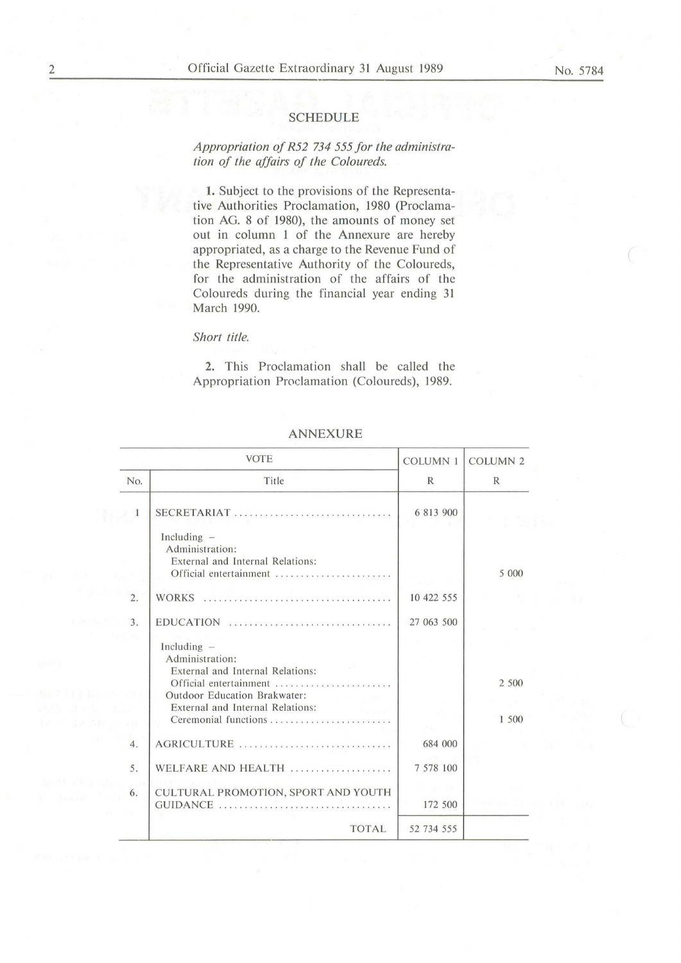#### SCHEDULE

### *Appropriation of R52 734 555 for the administration of the affairs of the Coloureds.*

1. Subject to the provisions of the Representative Authorities Proclamation, 1980 (Proclamation AG. 8 of 1980), the amounts of money set out in column 1 of the Annexure are hereby appropriated, as a charge to the Revenue Fund of the Representative Authority of the Coloureds, for the administration of the affairs of the Coloureds during the financial year ending 31 March 1990.

#### *Short title.*

2. This Proclamation shall be called the Appropriation Proclamation (Coloureds), 1989.

|                  | <b>VOTE</b>                                                                                                                                                                                | <b>COLUMN 1</b> | <b>COLUMN 2</b> |
|------------------|--------------------------------------------------------------------------------------------------------------------------------------------------------------------------------------------|-----------------|-----------------|
| No.              | Title                                                                                                                                                                                      | $\mathbb{R}$    | R               |
| 1                | SECRETARIAT                                                                                                                                                                                | 6 813 900       |                 |
|                  | Including $-$<br>Administration:<br>External and Internal Relations:<br>Official entertainment ,                                                                                           |                 | 5 000           |
| 2.               |                                                                                                                                                                                            | 10 422 555      |                 |
| $\overline{3}$ . | $EDUCATION$                                                                                                                                                                                | 27 063 500      |                 |
|                  | Including $-$<br>Administration:<br>External and Internal Relations:<br>Official entertainment<br>Outdoor Education Brakwater:<br>External and Internal Relations:<br>Ceremonial functions |                 | 2 500<br>1 500  |
| 4.               | AGRICULTURE                                                                                                                                                                                | 684 000         |                 |
| 5.               | WELFARE AND HEALTH                                                                                                                                                                         | 7 578 100       |                 |
| 6.               | CULTURAL PROMOTION, SPORT AND YOUTH                                                                                                                                                        | 172 500         |                 |
|                  | <b>TOTAL</b>                                                                                                                                                                               | 52 734 555      |                 |

#### ANNEXURE